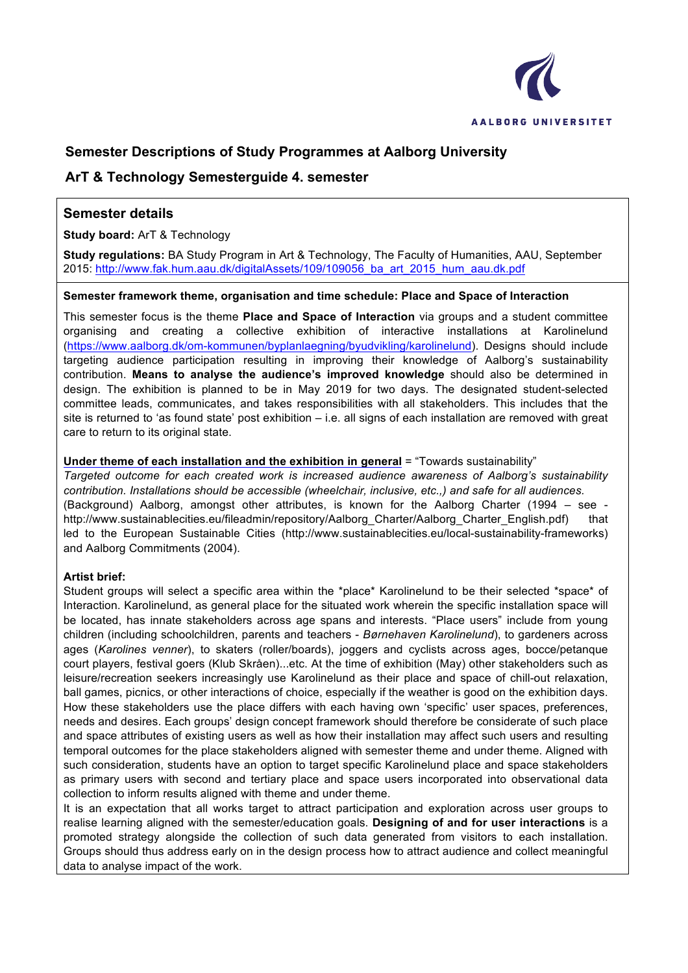

## **Semester Descriptions of Study Programmes at Aalborg University**

### **ArT & Technology Semesterguide 4. semester**

### **Semester details**

**Study board:** ArT & Technology

**Study regulations:** BA Study Program in Art & Technology, The Faculty of Humanities, AAU, September 2015: http://www.fak.hum.aau.dk/digitalAssets/109/109056\_ba\_art\_2015\_hum\_aau.dk.pdf

#### **Semester framework theme, organisation and time schedule: Place and Space of Interaction**

This semester focus is the theme **Place and Space of Interaction** via groups and a student committee organising and creating a collective exhibition of interactive installations at Karolinelund (https://www.aalborg.dk/om-kommunen/byplanlaegning/byudvikling/karolinelund). Designs should include targeting audience participation resulting in improving their knowledge of Aalborg's sustainability contribution. **Means to analyse the audience's improved knowledge** should also be determined in design. The exhibition is planned to be in May 2019 for two days. The designated student-selected committee leads, communicates, and takes responsibilities with all stakeholders. This includes that the site is returned to 'as found state' post exhibition – i.e. all signs of each installation are removed with great care to return to its original state.

#### **Under theme of each installation and the exhibition in general** = "Towards sustainability"

*Targeted outcome for each created work is increased audience awareness of Aalborg's sustainability contribution. Installations should be accessible (wheelchair, inclusive, etc.,) and safe for all audiences.* (Background) Aalborg, amongst other attributes, is known for the Aalborg Charter (1994 – see http://www.sustainablecities.eu/fileadmin/repository/Aalborg\_Charter/Aalborg\_Charter\_English.pdf) that led to the European Sustainable Cities (http://www.sustainablecities.eu/local-sustainability-frameworks) and Aalborg Commitments (2004).

#### **Artist brief:**

Student groups will select a specific area within the \*place\* Karolinelund to be their selected \*space\* of Interaction. Karolinelund, as general place for the situated work wherein the specific installation space will be located, has innate stakeholders across age spans and interests. "Place users" include from young children (including schoolchildren, parents and teachers - *Børnehaven Karolinelund*), to gardeners across ages (*Karolines venner*), to skaters (roller/boards), joggers and cyclists across ages, bocce/petanque court players, festival goers (Klub Skråen)...etc. At the time of exhibition (May) other stakeholders such as leisure/recreation seekers increasingly use Karolinelund as their place and space of chill-out relaxation, ball games, picnics, or other interactions of choice, especially if the weather is good on the exhibition days. How these stakeholders use the place differs with each having own 'specific' user spaces, preferences, needs and desires. Each groups' design concept framework should therefore be considerate of such place and space attributes of existing users as well as how their installation may affect such users and resulting temporal outcomes for the place stakeholders aligned with semester theme and under theme. Aligned with such consideration, students have an option to target specific Karolinelund place and space stakeholders as primary users with second and tertiary place and space users incorporated into observational data collection to inform results aligned with theme and under theme.

It is an expectation that all works target to attract participation and exploration across user groups to realise learning aligned with the semester/education goals. **Designing of and for user interactions** is a promoted strategy alongside the collection of such data generated from visitors to each installation. Groups should thus address early on in the design process how to attract audience and collect meaningful data to analyse impact of the work.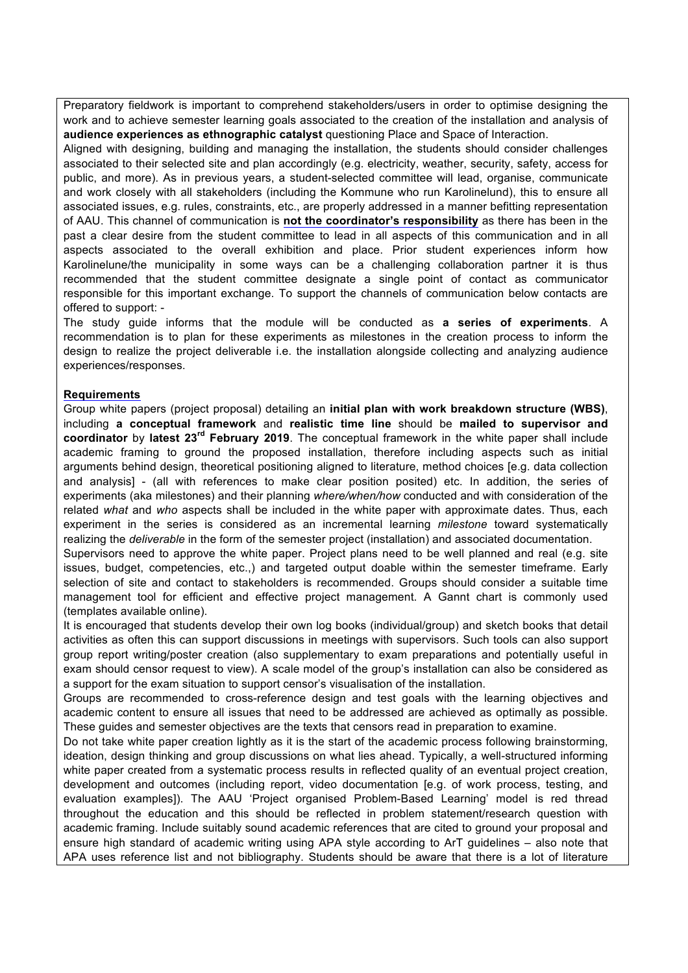Preparatory fieldwork is important to comprehend stakeholders/users in order to optimise designing the work and to achieve semester learning goals associated to the creation of the installation and analysis of **audience experiences as ethnographic catalyst** questioning Place and Space of Interaction.

Aligned with designing, building and managing the installation, the students should consider challenges associated to their selected site and plan accordingly (e.g. electricity, weather, security, safety, access for public, and more). As in previous years, a student-selected committee will lead, organise, communicate and work closely with all stakeholders (including the Kommune who run Karolinelund), this to ensure all associated issues, e.g. rules, constraints, etc., are properly addressed in a manner befitting representation of AAU. This channel of communication is **not the coordinator's responsibility** as there has been in the past a clear desire from the student committee to lead in all aspects of this communication and in all aspects associated to the overall exhibition and place. Prior student experiences inform how Karolinelune/the municipality in some ways can be a challenging collaboration partner it is thus recommended that the student committee designate a single point of contact as communicator responsible for this important exchange. To support the channels of communication below contacts are offered to support: -

The study guide informs that the module will be conducted as **a series of experiments**. A recommendation is to plan for these experiments as milestones in the creation process to inform the design to realize the project deliverable i.e. the installation alongside collecting and analyzing audience experiences/responses.

#### **Requirements**

Group white papers (project proposal) detailing an **initial plan with work breakdown structure (WBS)**, including **a conceptual framework** and **realistic time line** should be **mailed to supervisor and coordinator** by **latest 23rd February 2019**. The conceptual framework in the white paper shall include academic framing to ground the proposed installation, therefore including aspects such as initial arguments behind design, theoretical positioning aligned to literature, method choices [e.g. data collection and analysis] - (all with references to make clear position posited) etc. In addition, the series of experiments (aka milestones) and their planning *where/when/how* conducted and with consideration of the related *what* and *who* aspects shall be included in the white paper with approximate dates. Thus, each experiment in the series is considered as an incremental learning *milestone* toward systematically realizing the *deliverable* in the form of the semester project (installation) and associated documentation.

Supervisors need to approve the white paper. Project plans need to be well planned and real (e.g. site issues, budget, competencies, etc.,) and targeted output doable within the semester timeframe. Early selection of site and contact to stakeholders is recommended. Groups should consider a suitable time management tool for efficient and effective project management. A Gannt chart is commonly used (templates available online).

It is encouraged that students develop their own log books (individual/group) and sketch books that detail activities as often this can support discussions in meetings with supervisors. Such tools can also support group report writing/poster creation (also supplementary to exam preparations and potentially useful in exam should censor request to view). A scale model of the group's installation can also be considered as a support for the exam situation to support censor's visualisation of the installation.

Groups are recommended to cross-reference design and test goals with the learning objectives and academic content to ensure all issues that need to be addressed are achieved as optimally as possible. These guides and semester objectives are the texts that censors read in preparation to examine.

Do not take white paper creation lightly as it is the start of the academic process following brainstorming, ideation, design thinking and group discussions on what lies ahead. Typically, a well-structured informing white paper created from a systematic process results in reflected quality of an eventual project creation, development and outcomes (including report, video documentation [e.g. of work process, testing, and evaluation examples]). The AAU 'Project organised Problem-Based Learning' model is red thread throughout the education and this should be reflected in problem statement/research question with academic framing. Include suitably sound academic references that are cited to ground your proposal and ensure high standard of academic writing using APA style according to ArT guidelines – also note that APA uses reference list and not bibliography. Students should be aware that there is a lot of literature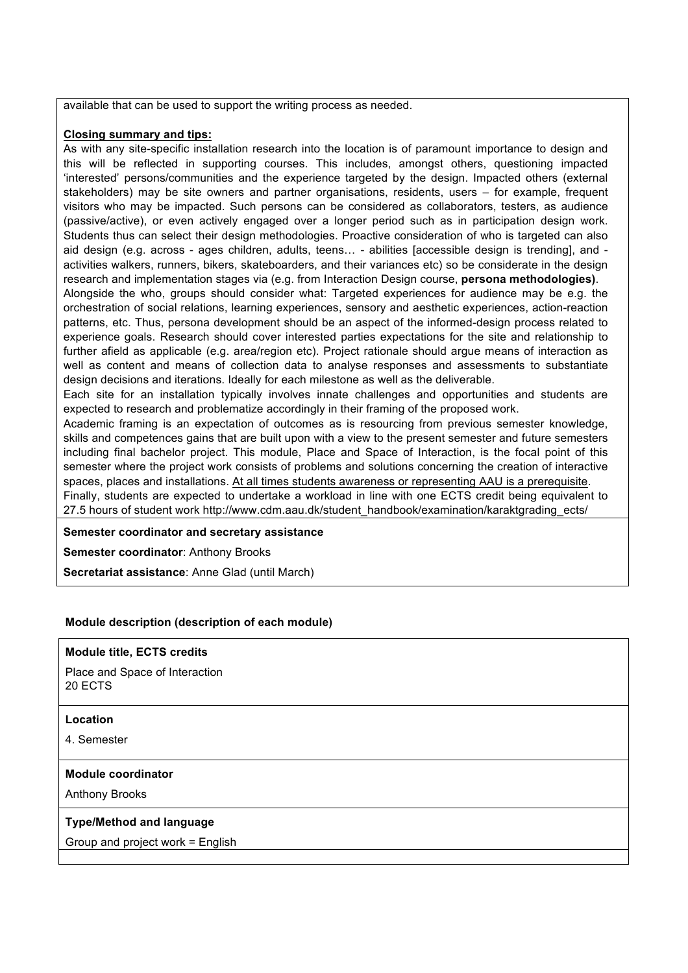available that can be used to support the writing process as needed.

#### **Closing summary and tips:**

As with any site-specific installation research into the location is of paramount importance to design and this will be reflected in supporting courses. This includes, amongst others, questioning impacted 'interested' persons/communities and the experience targeted by the design. Impacted others (external stakeholders) may be site owners and partner organisations, residents, users – for example, frequent visitors who may be impacted. Such persons can be considered as collaborators, testers, as audience (passive/active), or even actively engaged over a longer period such as in participation design work. Students thus can select their design methodologies. Proactive consideration of who is targeted can also aid design (e.g. across - ages children, adults, teens… - abilities [accessible design is trending], and activities walkers, runners, bikers, skateboarders, and their variances etc) so be considerate in the design research and implementation stages via (e.g. from Interaction Design course, **persona methodologies)**. Alongside the who, groups should consider what: Targeted experiences for audience may be e.g. the orchestration of social relations, learning experiences, sensory and aesthetic experiences, action-reaction patterns, etc. Thus, persona development should be an aspect of the informed-design process related to experience goals. Research should cover interested parties expectations for the site and relationship to further afield as applicable (e.g. area/region etc). Project rationale should argue means of interaction as well as content and means of collection data to analyse responses and assessments to substantiate design decisions and iterations. Ideally for each milestone as well as the deliverable.

Each site for an installation typically involves innate challenges and opportunities and students are expected to research and problematize accordingly in their framing of the proposed work.

Academic framing is an expectation of outcomes as is resourcing from previous semester knowledge, skills and competences gains that are built upon with a view to the present semester and future semesters including final bachelor project. This module, Place and Space of Interaction, is the focal point of this semester where the project work consists of problems and solutions concerning the creation of interactive spaces, places and installations. At all times students awareness or representing AAU is a prerequisite.

Finally, students are expected to undertake a workload in line with one ECTS credit being equivalent to 27.5 hours of student work http://www.cdm.aau.dk/student\_handbook/examination/karaktgrading\_ects/

#### **Semester coordinator and secretary assistance**

**Semester coordinator**: Anthony Brooks

**Secretariat assistance**: Anne Glad (until March)

#### **Module description (description of each module)**

#### **Module title, ECTS credits**

Place and Space of Interaction 20 ECTS

#### **Location**

4. Semester

#### **Module coordinator**

Anthony Brooks

#### **Type/Method and language**

Group and project work = English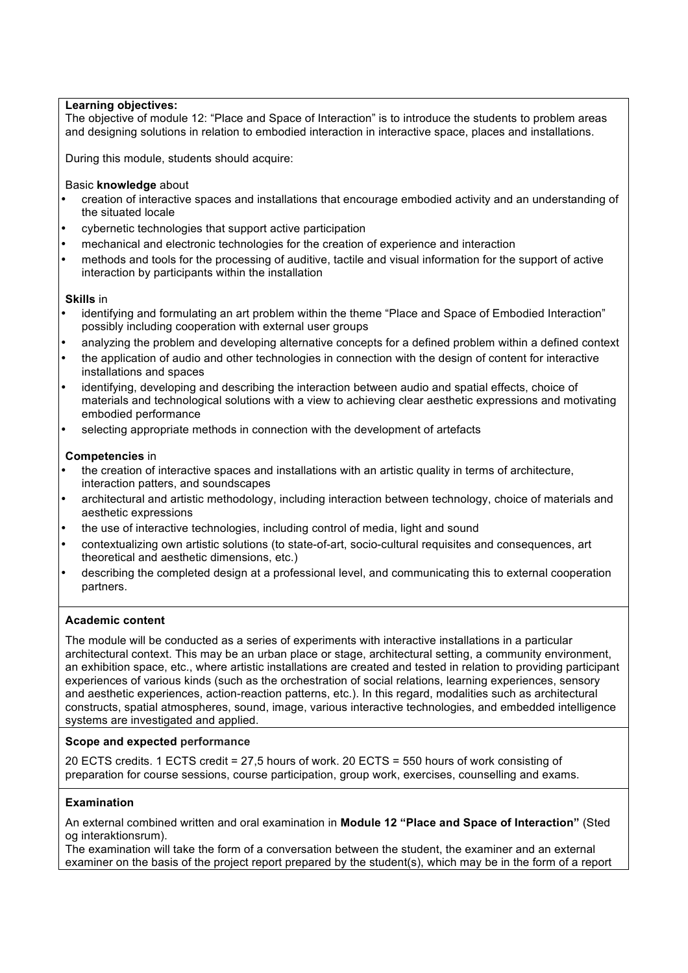#### **Learning objectives:**

The objective of module 12: "Place and Space of Interaction" is to introduce the students to problem areas and designing solutions in relation to embodied interaction in interactive space, places and installations.

During this module, students should acquire:

Basic **knowledge** about

- creation of interactive spaces and installations that encourage embodied activity and an understanding of the situated locale
- cybernetic technologies that support active participation
- mechanical and electronic technologies for the creation of experience and interaction
- methods and tools for the processing of auditive, tactile and visual information for the support of active interaction by participants within the installation

#### **Skills** in

- identifying and formulating an art problem within the theme "Place and Space of Embodied Interaction" possibly including cooperation with external user groups
- analyzing the problem and developing alternative concepts for a defined problem within a defined context
- the application of audio and other technologies in connection with the design of content for interactive installations and spaces
- identifying, developing and describing the interaction between audio and spatial effects, choice of materials and technological solutions with a view to achieving clear aesthetic expressions and motivating embodied performance
- selecting appropriate methods in connection with the development of artefacts

### **Competencies** in

- the creation of interactive spaces and installations with an artistic quality in terms of architecture, interaction patters, and soundscapes
- architectural and artistic methodology, including interaction between technology, choice of materials and aesthetic expressions
- the use of interactive technologies, including control of media, light and sound
- contextualizing own artistic solutions (to state-of-art, socio-cultural requisites and consequences, art theoretical and aesthetic dimensions, etc.)
- describing the completed design at a professional level, and communicating this to external cooperation partners.

### **Academic content**

The module will be conducted as a series of experiments with interactive installations in a particular architectural context. This may be an urban place or stage, architectural setting, a community environment, an exhibition space, etc., where artistic installations are created and tested in relation to providing participant experiences of various kinds (such as the orchestration of social relations, learning experiences, sensory and aesthetic experiences, action-reaction patterns, etc.). In this regard, modalities such as architectural constructs, spatial atmospheres, sound, image, various interactive technologies, and embedded intelligence systems are investigated and applied.

#### **Scope and expected performance**

20 ECTS credits. 1 ECTS credit = 27,5 hours of work. 20 ECTS = 550 hours of work consisting of preparation for course sessions, course participation, group work, exercises, counselling and exams.

### **Examination**

An external combined written and oral examination in **Module 12 "Place and Space of Interaction"** (Sted og interaktionsrum).

The examination will take the form of a conversation between the student, the examiner and an external examiner on the basis of the project report prepared by the student(s), which may be in the form of a report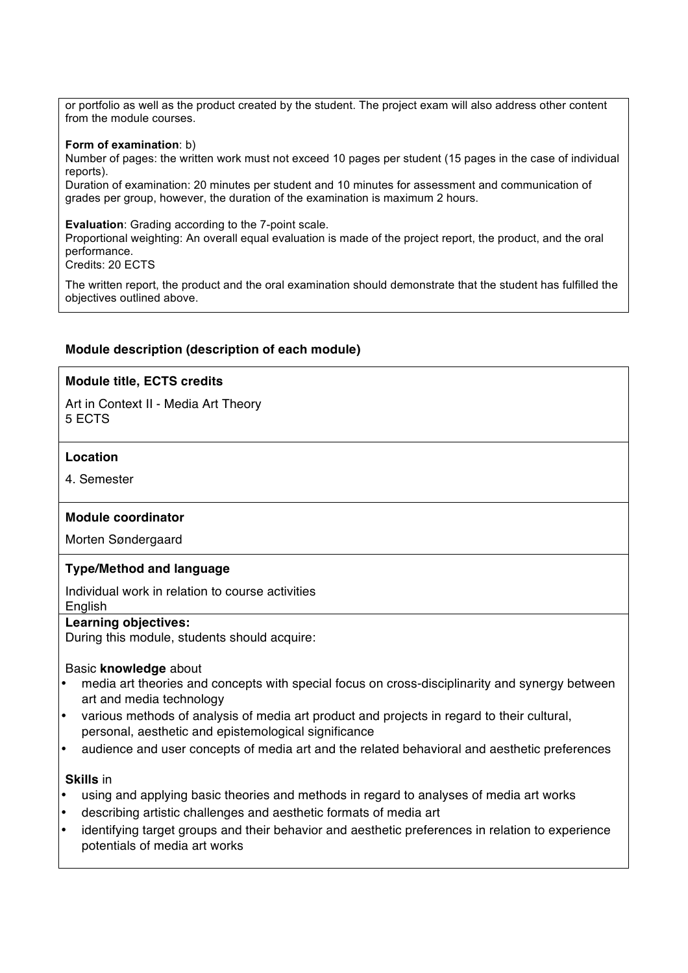or portfolio as well as the product created by the student. The project exam will also address other content from the module courses.

#### **Form of examination**: b)

Number of pages: the written work must not exceed 10 pages per student (15 pages in the case of individual reports).

Duration of examination: 20 minutes per student and 10 minutes for assessment and communication of grades per group, however, the duration of the examination is maximum 2 hours.

**Evaluation**: Grading according to the 7-point scale.

Proportional weighting: An overall equal evaluation is made of the project report, the product, and the oral performance.

Credits: 20 ECTS

The written report, the product and the oral examination should demonstrate that the student has fulfilled the objectives outlined above.

#### **Module description (description of each module)**

#### **Module title, ECTS credits**

Art in Context II - Media Art Theory 5 ECTS

#### **Location**

4. Semester

#### **Module coordinator**

Morten Søndergaard

#### **Type/Method and language**

Individual work in relation to course activities **English** 

### **Learning objectives:**

During this module, students should acquire:

#### Basic **knowledge** about

- media art theories and concepts with special focus on cross-disciplinarity and synergy between art and media technology
- various methods of analysis of media art product and projects in regard to their cultural, personal, aesthetic and epistemological significance
- audience and user concepts of media art and the related behavioral and aesthetic preferences

#### **Skills** in

- using and applying basic theories and methods in regard to analyses of media art works
- describing artistic challenges and aesthetic formats of media art
- identifying target groups and their behavior and aesthetic preferences in relation to experience potentials of media art works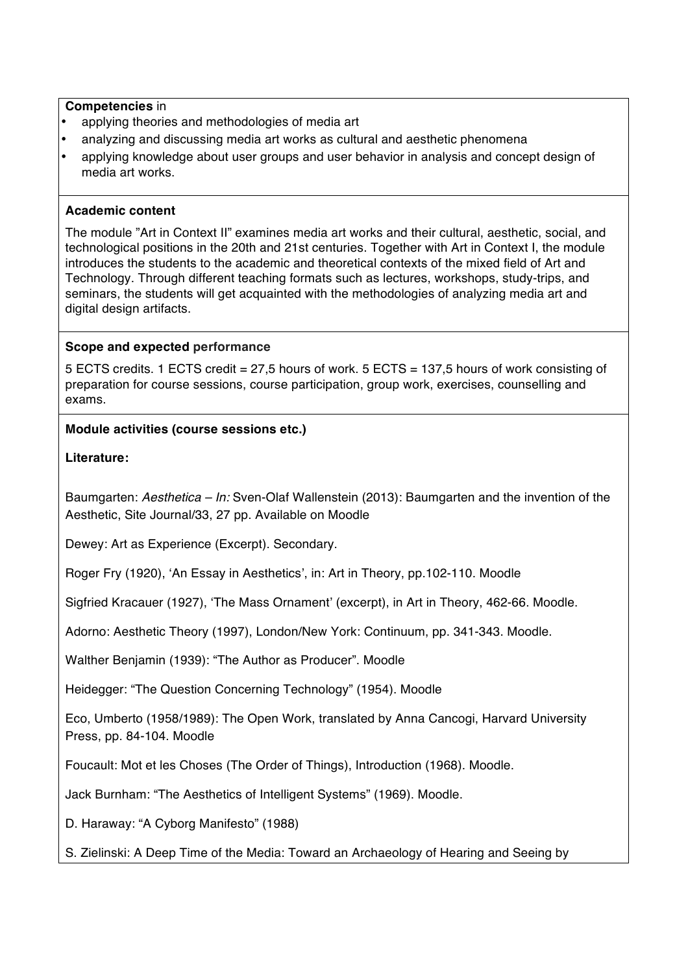### **Competencies** in

- applying theories and methodologies of media art
- analyzing and discussing media art works as cultural and aesthetic phenomena
- applying knowledge about user groups and user behavior in analysis and concept design of media art works.

### **Academic content**

The module "Art in Context II" examines media art works and their cultural, aesthetic, social, and technological positions in the 20th and 21st centuries. Together with Art in Context I, the module introduces the students to the academic and theoretical contexts of the mixed field of Art and Technology. Through different teaching formats such as lectures, workshops, study-trips, and seminars, the students will get acquainted with the methodologies of analyzing media art and digital design artifacts.

#### **Scope and expected performance**

5 ECTS credits. 1 ECTS credit = 27,5 hours of work. 5 ECTS = 137,5 hours of work consisting of preparation for course sessions, course participation, group work, exercises, counselling and exams.

### **Module activities (course sessions etc.)**

### **Literature:**

Baumgarten: *Aesthetica – In:* Sven-Olaf Wallenstein (2013): Baumgarten and the invention of the Aesthetic, Site Journal/33, 27 pp. Available on Moodle

Dewey: Art as Experience (Excerpt). Secondary.

Roger Fry (1920), 'An Essay in Aesthetics', in: Art in Theory, pp.102-110. Moodle

Sigfried Kracauer (1927), 'The Mass Ornament' (excerpt), in Art in Theory, 462-66. Moodle.

Adorno: Aesthetic Theory (1997), London/New York: Continuum, pp. 341-343. Moodle.

Walther Benjamin (1939): "The Author as Producer". Moodle

Heidegger: "The Question Concerning Technology" (1954). Moodle

Eco, Umberto (1958/1989): The Open Work, translated by Anna Cancogi, Harvard University Press, pp. 84-104. Moodle

Foucault: Mot et les Choses (The Order of Things), Introduction (1968). Moodle.

Jack Burnham: "The Aesthetics of Intelligent Systems" (1969). Moodle.

D. Haraway: "A Cyborg Manifesto" (1988)

S. Zielinski: A Deep Time of the Media: Toward an Archaeology of Hearing and Seeing by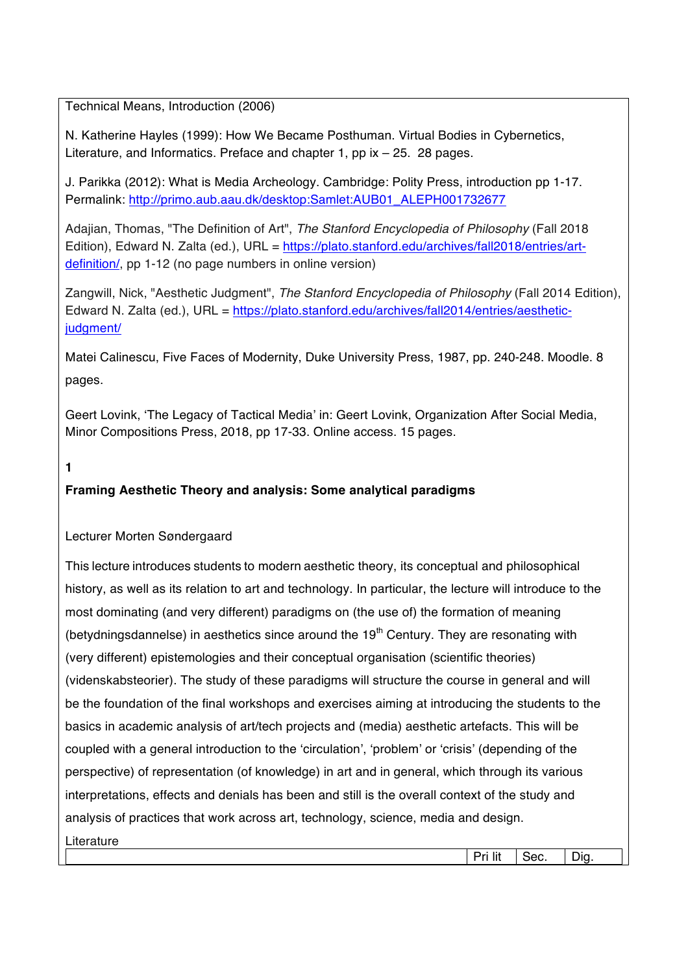Technical Means, Introduction (2006)

N. Katherine Hayles (1999): How We Became Posthuman. Virtual Bodies in Cybernetics, Literature, and Informatics. Preface and chapter 1, pp ix – 25. 28 pages.

J. Parikka (2012): What is Media Archeology. Cambridge: Polity Press, introduction pp 1-17. Permalink: http://primo.aub.aau.dk/desktop:Samlet:AUB01\_ALEPH001732677

Adajian, Thomas, "The Definition of Art", *The Stanford Encyclopedia of Philosophy* (Fall 2018 Edition), Edward N. Zalta (ed.), URL = https://plato.stanford.edu/archives/fall2018/entries/artdefinition/, pp 1-12 (no page numbers in online version)

Zangwill, Nick, "Aesthetic Judgment", *The Stanford Encyclopedia of Philosophy* (Fall 2014 Edition), Edward N. Zalta (ed.), URL = https://plato.stanford.edu/archives/fall2014/entries/aestheticjudgment/

Matei Calinescu, Five Faces of Modernity, Duke University Press, 1987, pp. 240-248. Moodle. 8 pages.

Geert Lovink, 'The Legacy of Tactical Media' in: Geert Lovink, Organization After Social Media, Minor Compositions Press, 2018, pp 17-33. Online access. 15 pages.

**1**

### **Framing Aesthetic Theory and analysis: Some analytical paradigms**

### Lecturer Morten Søndergaard

This lecture introduces students to modern aesthetic theory, its conceptual and philosophical history, as well as its relation to art and technology. In particular, the lecture will introduce to the most dominating (and very different) paradigms on (the use of) the formation of meaning (betydningsdannelse) in aesthetics since around the  $19<sup>th</sup>$  Century. They are resonating with (very different) epistemologies and their conceptual organisation (scientific theories) (videnskabsteorier). The study of these paradigms will structure the course in general and will be the foundation of the final workshops and exercises aiming at introducing the students to the basics in academic analysis of art/tech projects and (media) aesthetic artefacts. This will be coupled with a general introduction to the 'circulation', 'problem' or 'crisis' (depending of the perspective) of representation (of knowledge) in art and in general, which through its various interpretations, effects and denials has been and still is the overall context of the study and analysis of practices that work across art, technology, science, media and design. **Literature** Pri lit | Sec. | Dig.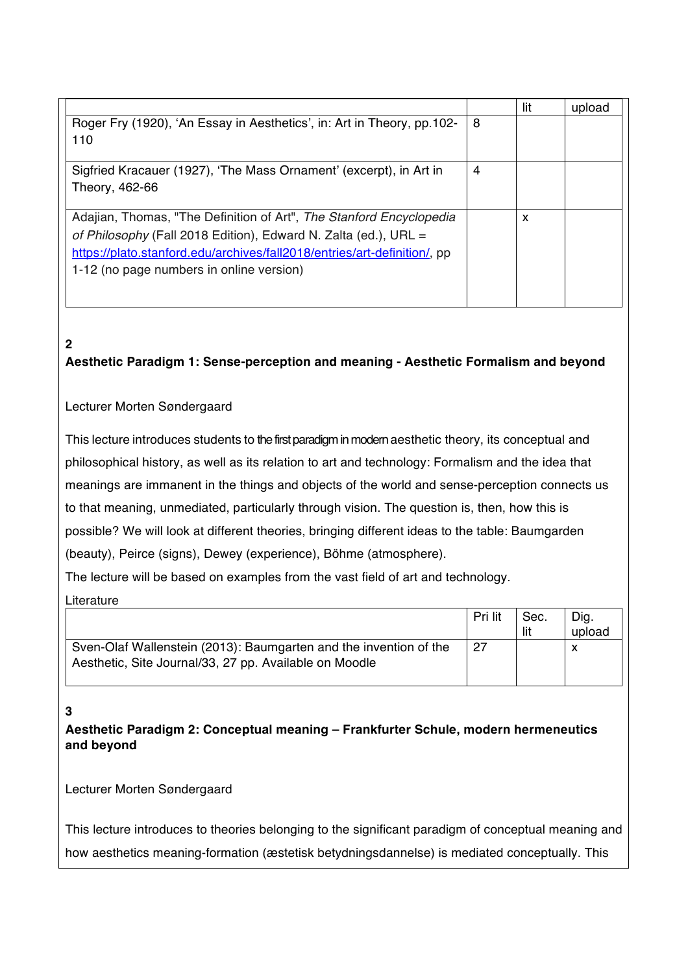|                                                                          |   | lit | upload |
|--------------------------------------------------------------------------|---|-----|--------|
| Roger Fry (1920), 'An Essay in Aesthetics', in: Art in Theory, pp.102-   | 8 |     |        |
| 110                                                                      |   |     |        |
|                                                                          |   |     |        |
| Sigfried Kracauer (1927), 'The Mass Ornament' (excerpt), in Art in       | 4 |     |        |
| Theory, 462-66                                                           |   |     |        |
|                                                                          |   |     |        |
| Adajian, Thomas, "The Definition of Art", The Stanford Encyclopedia      |   | x   |        |
| of Philosophy (Fall 2018 Edition), Edward N. Zalta (ed.), URL =          |   |     |        |
| https://plato.stanford.edu/archives/fall2018/entries/art-definition/, pp |   |     |        |
| 1-12 (no page numbers in online version)                                 |   |     |        |
|                                                                          |   |     |        |

# **2**

**Aesthetic Paradigm 1: Sense-perception and meaning - Aesthetic Formalism and beyond**

### Lecturer Morten Søndergaard

This lecture introduces students to the first paradigm in modern aesthetic theory, its conceptual and philosophical history, as well as its relation to art and technology: Formalism and the idea that meanings are immanent in the things and objects of the world and sense-perception connects us to that meaning, unmediated, particularly through vision. The question is, then, how this is possible? We will look at different theories, bringing different ideas to the table: Baumgarden (beauty), Peirce (signs), Dewey (experience), Böhme (atmosphere).

The lecture will be based on examples from the vast field of art and technology.

**Literature** 

|                                                                                                                             | Pri lit | Sec.<br>lit | Dig.<br>upload |
|-----------------------------------------------------------------------------------------------------------------------------|---------|-------------|----------------|
| Sven-Olaf Wallenstein (2013): Baumgarten and the invention of the<br>Aesthetic, Site Journal/33, 27 pp. Available on Moodle | 27      |             |                |

### **3**

**Aesthetic Paradigm 2: Conceptual meaning – Frankfurter Schule, modern hermeneutics and beyond**

Lecturer Morten Søndergaard

This lecture introduces to theories belonging to the significant paradigm of conceptual meaning and how aesthetics meaning-formation (æstetisk betydningsdannelse) is mediated conceptually. This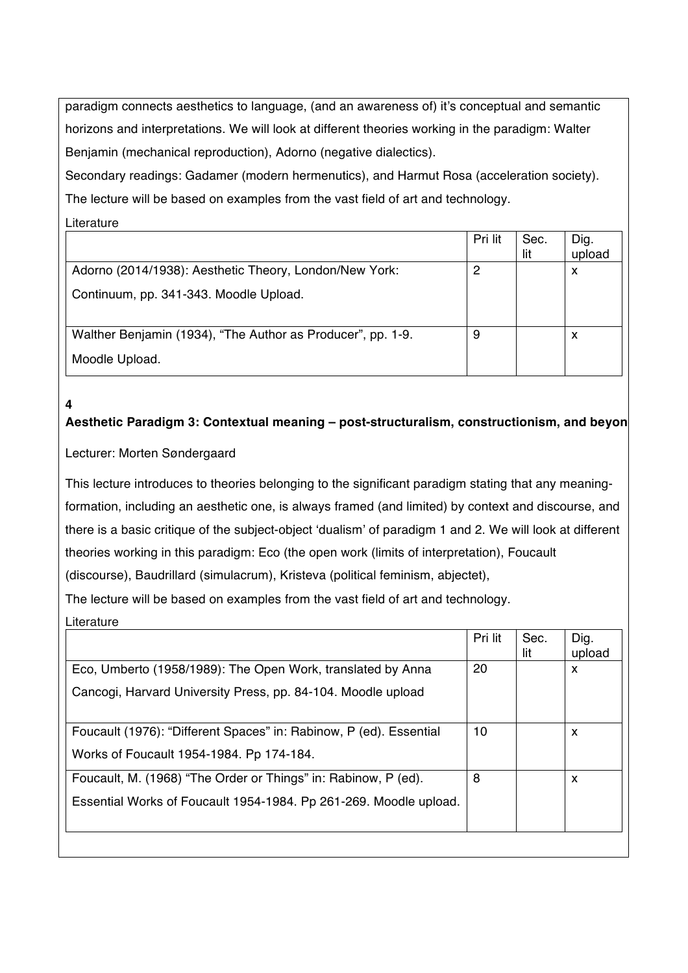paradigm connects aesthetics to language, (and an awareness of) it's conceptual and semantic horizons and interpretations. We will look at different theories working in the paradigm: Walter Benjamin (mechanical reproduction), Adorno (negative dialectics).

Secondary readings: Gadamer (modern hermenutics), and Harmut Rosa (acceleration society). The lecture will be based on examples from the vast field of art and technology.

**Literature** 

**4**

|                                                             | Pri lit | Sec.<br>lit | Dig.<br>upload |
|-------------------------------------------------------------|---------|-------------|----------------|
| Adorno (2014/1938): Aesthetic Theory, London/New York:      | 2       |             | X              |
| Continuum, pp. 341-343. Moodle Upload.                      |         |             |                |
| Walther Benjamin (1934), "The Author as Producer", pp. 1-9. | 9       |             | X              |
| Moodle Upload.                                              |         |             |                |

# Aesthetic Paradigm 3: Contextual meaning - post-structuralism, constructionism, and beyon

### Lecturer: Morten Søndergaard

This lecture introduces to theories belonging to the significant paradigm stating that any meaningformation, including an aesthetic one, is always framed (and limited) by context and discourse, and there is a basic critique of the subject-object 'dualism' of paradigm 1 and 2. We will look at different theories working in this paradigm: Eco (the open work (limits of interpretation), Foucault (discourse), Baudrillard (simulacrum), Kristeva (political feminism, abjectet),

The lecture will be based on examples from the vast field of art and technology.

Literature

|                                                                    | Pri lit | Sec.<br>lit | Dig.<br>upload |
|--------------------------------------------------------------------|---------|-------------|----------------|
| Eco, Umberto (1958/1989): The Open Work, translated by Anna        | 20      |             | X              |
| Cancogi, Harvard University Press, pp. 84-104. Moodle upload       |         |             |                |
| Foucault (1976): "Different Spaces" in: Rabinow, P (ed). Essential | 10      |             | X              |
| Works of Foucault 1954-1984. Pp 174-184.                           |         |             |                |
| Foucault, M. (1968) "The Order or Things" in: Rabinow, P (ed).     | 8       |             | X              |
| Essential Works of Foucault 1954-1984. Pp 261-269. Moodle upload.  |         |             |                |
|                                                                    |         |             |                |
|                                                                    |         |             |                |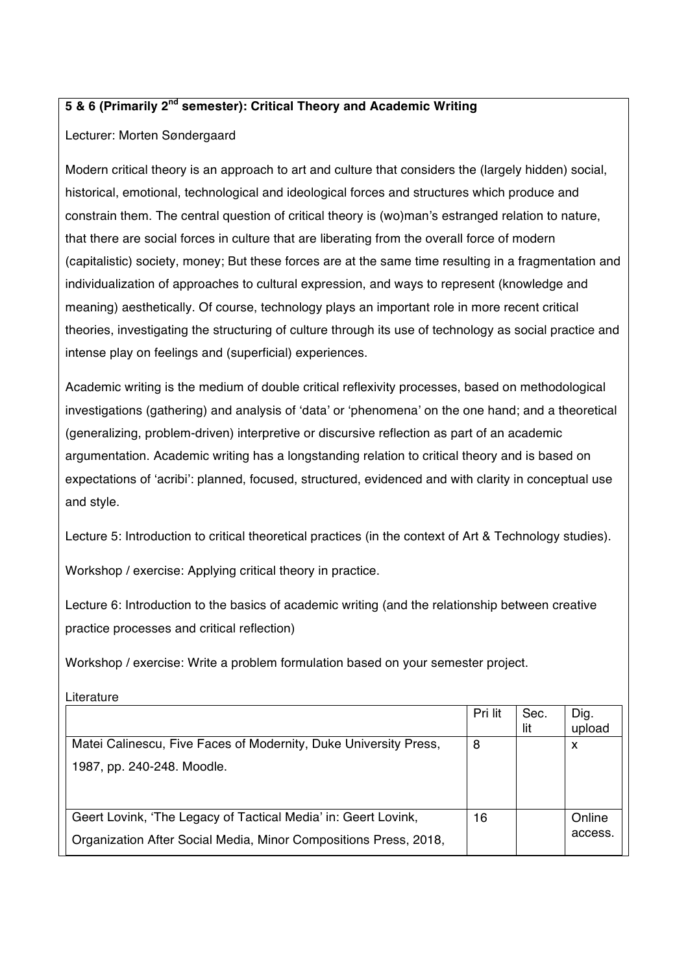## **5 & 6 (Primarily 2nd semester): Critical Theory and Academic Writing**

### Lecturer: Morten Søndergaard

Modern critical theory is an approach to art and culture that considers the (largely hidden) social, historical, emotional, technological and ideological forces and structures which produce and constrain them. The central question of critical theory is (wo)man's estranged relation to nature, that there are social forces in culture that are liberating from the overall force of modern (capitalistic) society, money; But these forces are at the same time resulting in a fragmentation and individualization of approaches to cultural expression, and ways to represent (knowledge and meaning) aesthetically. Of course, technology plays an important role in more recent critical theories, investigating the structuring of culture through its use of technology as social practice and intense play on feelings and (superficial) experiences.

Academic writing is the medium of double critical reflexivity processes, based on methodological investigations (gathering) and analysis of 'data' or 'phenomena' on the one hand; and a theoretical (generalizing, problem-driven) interpretive or discursive reflection as part of an academic argumentation. Academic writing has a longstanding relation to critical theory and is based on expectations of 'acribi': planned, focused, structured, evidenced and with clarity in conceptual use and style.

Lecture 5: Introduction to critical theoretical practices (in the context of Art & Technology studies).

Workshop / exercise: Applying critical theory in practice.

Literature

Lecture 6: Introduction to the basics of academic writing (and the relationship between creative practice processes and critical reflection)

Workshop / exercise: Write a problem formulation based on your semester project.

| Lilerature                                                       |         |      |         |
|------------------------------------------------------------------|---------|------|---------|
|                                                                  | Pri lit | Sec. | Dig.    |
|                                                                  |         | lit  | upload  |
| Matei Calinescu, Five Faces of Modernity, Duke University Press, | 8       |      | X       |
| 1987, pp. 240-248. Moodle.                                       |         |      |         |
|                                                                  |         |      |         |
|                                                                  |         |      |         |
| Geert Lovink, 'The Legacy of Tactical Media' in: Geert Lovink,   | 16      |      | Online  |
| Organization After Social Media, Minor Compositions Press, 2018, |         |      | access. |
|                                                                  |         |      |         |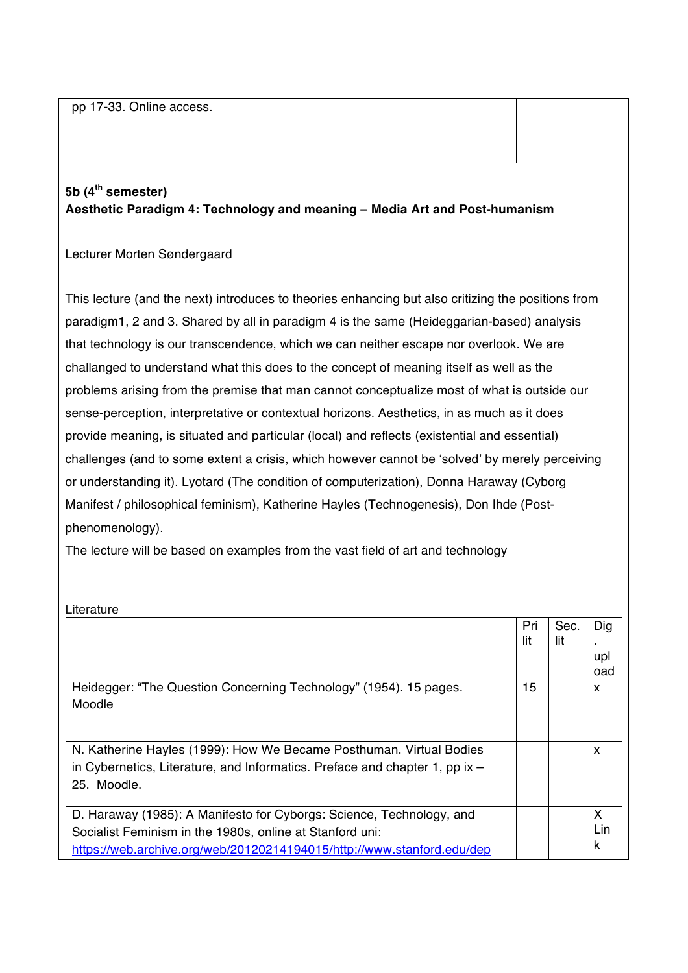pp 17-33. Online access.

# **5b (4th semester) Aesthetic Paradigm 4: Technology and meaning – Media Art and Post-humanism**

### Lecturer Morten Søndergaard

This lecture (and the next) introduces to theories enhancing but also critizing the positions from paradigm1, 2 and 3. Shared by all in paradigm 4 is the same (Heideggarian-based) analysis that technology is our transcendence, which we can neither escape nor overlook. We are challanged to understand what this does to the concept of meaning itself as well as the problems arising from the premise that man cannot conceptualize most of what is outside our sense-perception, interpretative or contextual horizons. Aesthetics, in as much as it does provide meaning, is situated and particular (local) and reflects (existential and essential) challenges (and to some extent a crisis, which however cannot be 'solved' by merely perceiving or understanding it). Lyotard (The condition of computerization), Donna Haraway (Cyborg Manifest / philosophical feminism), Katherine Hayles (Technogenesis), Don Ihde (Postphenomenology).

The lecture will be based on examples from the vast field of art and technology

| Literature                                                                   |     |      |     |
|------------------------------------------------------------------------------|-----|------|-----|
|                                                                              | Pri | Sec. | Dig |
|                                                                              | lit | lit  |     |
|                                                                              |     |      | upl |
|                                                                              |     |      | oad |
| Heidegger: "The Question Concerning Technology" (1954). 15 pages.            | 15  |      | X   |
| Moodle                                                                       |     |      |     |
|                                                                              |     |      |     |
|                                                                              |     |      |     |
| N. Katherine Hayles (1999): How We Became Posthuman. Virtual Bodies          |     |      | X   |
| in Cybernetics, Literature, and Informatics. Preface and chapter 1, pp $x -$ |     |      |     |
| 25. Moodle.                                                                  |     |      |     |
|                                                                              |     |      |     |
| D. Haraway (1985): A Manifesto for Cyborgs: Science, Technology, and         |     |      | X   |
| Socialist Feminism in the 1980s, online at Stanford uni:                     |     |      | Lin |
| https://web.archive.org/web/20120214194015/http://www.stanford.edu/dep       |     |      | k   |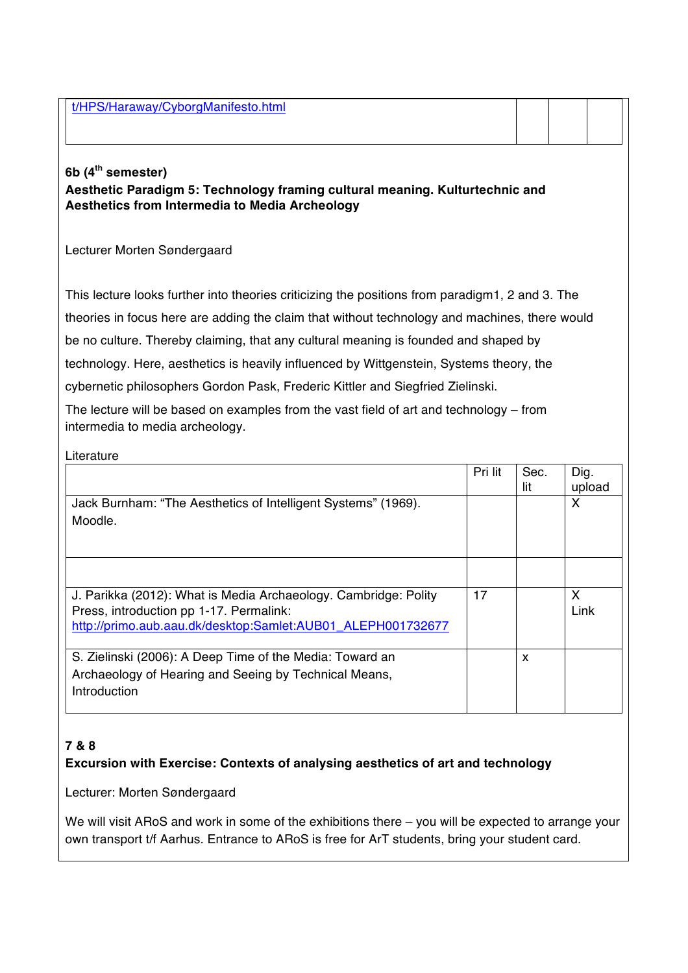t/HPS/Haraway/CyborgManifesto.html

### **6b (4th semester)**

**Aesthetic Paradigm 5: Technology framing cultural meaning. Kulturtechnic and Aesthetics from Intermedia to Media Archeology**

Lecturer Morten Søndergaard

This lecture looks further into theories criticizing the positions from paradigm1, 2 and 3. The theories in focus here are adding the claim that without technology and machines, there would be no culture. Thereby claiming, that any cultural meaning is founded and shaped by technology. Here, aesthetics is heavily influenced by Wittgenstein, Systems theory, the cybernetic philosophers Gordon Pask, Frederic Kittler and Siegfried Zielinski.

The lecture will be based on examples from the vast field of art and technology – from

intermedia to media archeology.

| Literature                                                                                                                                                                |         |             |                |
|---------------------------------------------------------------------------------------------------------------------------------------------------------------------------|---------|-------------|----------------|
|                                                                                                                                                                           | Pri lit | Sec.<br>lit | Dig.<br>upload |
| Jack Burnham: "The Aesthetics of Intelligent Systems" (1969).<br>Moodle.                                                                                                  |         |             | X              |
| J. Parikka (2012): What is Media Archaeology. Cambridge: Polity<br>Press, introduction pp 1-17. Permalink:<br>http://primo.aub.aau.dk/desktop:Samlet:AUB01_ALEPH001732677 | 17      |             | X<br>Link      |
| S. Zielinski (2006): A Deep Time of the Media: Toward an<br>Archaeology of Hearing and Seeing by Technical Means,<br>Introduction                                         |         | X           |                |

# **7 & 8**

# **Excursion with Exercise: Contexts of analysing aesthetics of art and technology**

Lecturer: Morten Søndergaard

We will visit ARoS and work in some of the exhibitions there – you will be expected to arrange your own transport t/f Aarhus. Entrance to ARoS is free for ArT students, bring your student card.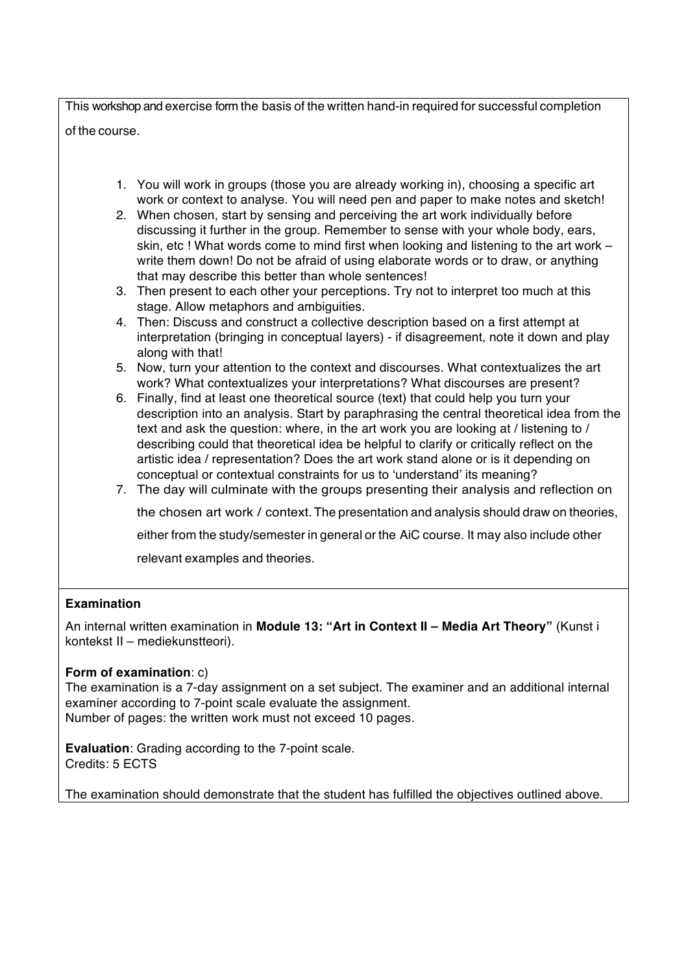This workshop and exercise form the basis of the written hand-in required for successful completion of the course.

- 1. You will work in groups (those you are already working in), choosing a specific art work or context to analyse. You will need pen and paper to make notes and sketch!
- 2. When chosen, start by sensing and perceiving the art work individually before discussing it further in the group. Remember to sense with your whole body, ears, skin, etc ! What words come to mind first when looking and listening to the art work – write them down! Do not be afraid of using elaborate words or to draw, or anything that may describe this better than whole sentences!
- 3. Then present to each other your perceptions. Try not to interpret too much at this stage. Allow metaphors and ambiguities.
- 4. Then: Discuss and construct a collective description based on a first attempt at interpretation (bringing in conceptual layers) - if disagreement, note it down and play along with that!
- 5. Now, turn your attention to the context and discourses. What contextualizes the art work? What contextualizes your interpretations? What discourses are present?
- 6. Finally, find at least one theoretical source (text) that could help you turn your description into an analysis. Start by paraphrasing the central theoretical idea from the text and ask the question: where, in the art work you are looking at / listening to / describing could that theoretical idea be helpful to clarify or critically reflect on the artistic idea / representation? Does the art work stand alone or is it depending on conceptual or contextual constraints for us to 'understand' its meaning?
- 7. The day will culminate with the groups presenting their analysis and reflection on the chosen art work / context. The presentation and analysis should draw on theories, either from the study/semester in general or the AiC course. It may also include other relevant examples and theories.

### **Examination**

An internal written examination in **Module 13: "Art in Context II – Media Art Theory"** (Kunst i kontekst II – mediekunstteori).

### **Form of examination**: c)

The examination is a 7-day assignment on a set subject. The examiner and an additional internal examiner according to 7-point scale evaluate the assignment. Number of pages: the written work must not exceed 10 pages.

**Evaluation**: Grading according to the 7-point scale. Credits: 5 ECTS

The examination should demonstrate that the student has fulfilled the objectives outlined above.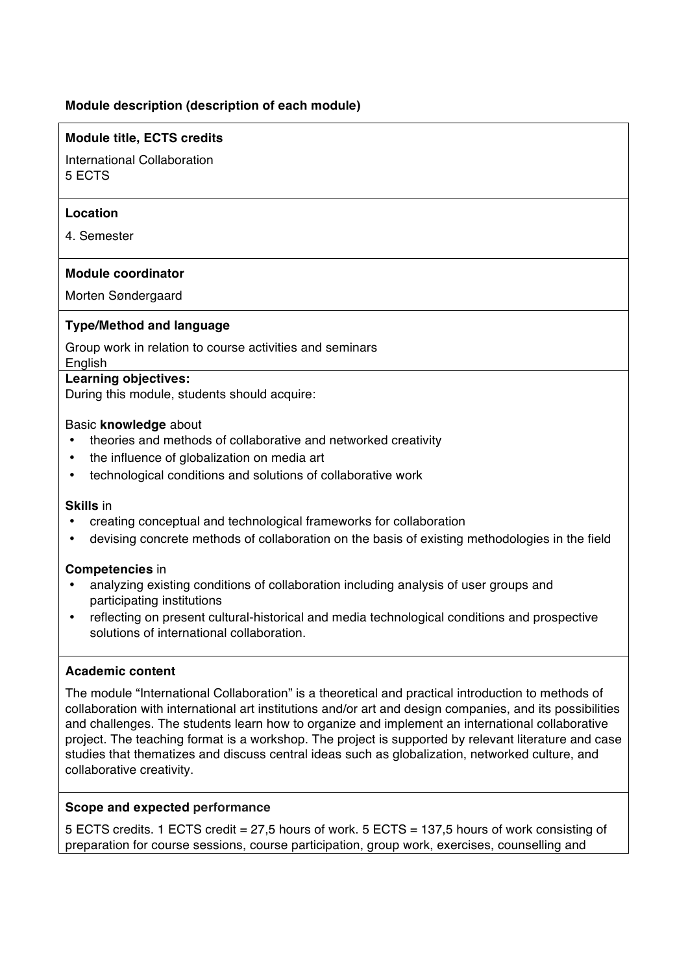### **Module description (description of each module)**

### **Module title, ECTS credits**

International Collaboration 5 ECTS

### **Location**

4. Semester

### **Module coordinator**

Morten Søndergaard

### **Type/Method and language**

Group work in relation to course activities and seminars English

#### **Learning objectives:**

During this module, students should acquire:

#### Basic **knowledge** about

- theories and methods of collaborative and networked creativity
- the influence of globalization on media art
- technological conditions and solutions of collaborative work

#### **Skills** in

- creating conceptual and technological frameworks for collaboration
- devising concrete methods of collaboration on the basis of existing methodologies in the field

#### **Competencies** in

- analyzing existing conditions of collaboration including analysis of user groups and participating institutions
- reflecting on present cultural-historical and media technological conditions and prospective solutions of international collaboration.

### **Academic content**

The module "International Collaboration" is a theoretical and practical introduction to methods of collaboration with international art institutions and/or art and design companies, and its possibilities and challenges. The students learn how to organize and implement an international collaborative project. The teaching format is a workshop. The project is supported by relevant literature and case studies that thematizes and discuss central ideas such as globalization, networked culture, and collaborative creativity.

### **Scope and expected performance**

5 ECTS credits. 1 ECTS credit = 27,5 hours of work. 5 ECTS = 137,5 hours of work consisting of preparation for course sessions, course participation, group work, exercises, counselling and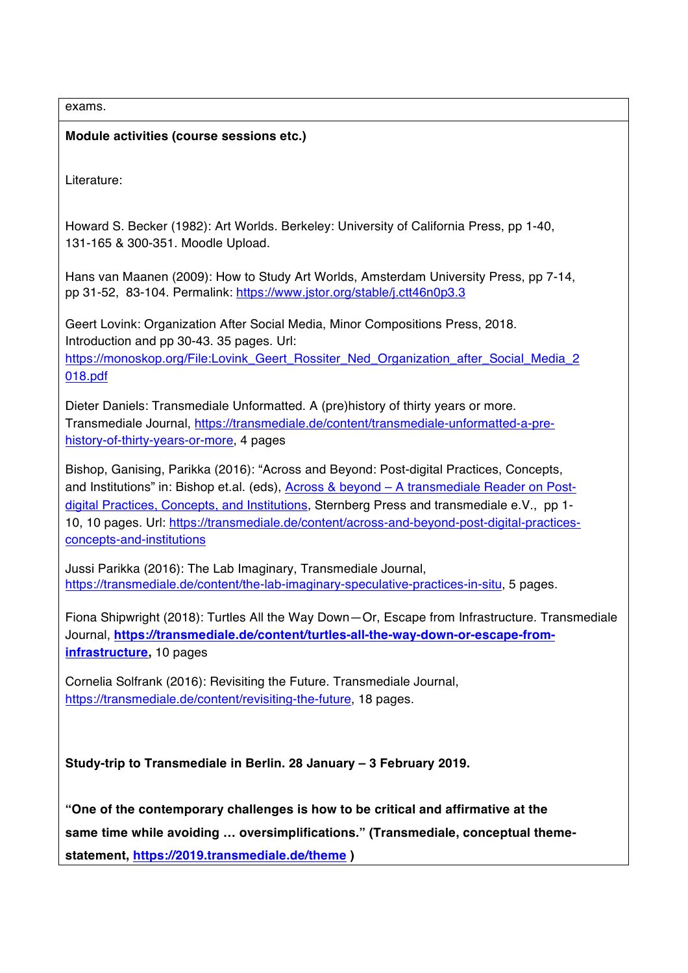exams. **Module activities (course sessions etc.)** Literature: Howard S. Becker (1982): Art Worlds. Berkeley: University of California Press, pp 1-40, 131-165 & 300-351. Moodle Upload. Hans van Maanen (2009): How to Study Art Worlds, Amsterdam University Press, pp 7-14, pp 31-52, 83-104. Permalink: https://www.jstor.org/stable/j.ctt46n0p3.3 Geert Lovink: Organization After Social Media, Minor Compositions Press, 2018. Introduction and pp 30-43. 35 pages. Url: https://monoskop.org/File:Lovink\_Geert\_Rossiter\_Ned\_Organization\_after\_Social\_Media\_2 018.pdf Dieter Daniels: Transmediale Unformatted. A (pre)history of thirty years or more. Transmediale Journal, https://transmediale.de/content/transmediale-unformatted-a-prehistory-of-thirty-years-or-more, 4 pages Bishop, Ganising, Parikka (2016): "Across and Beyond: Post-digital Practices, Concepts, and Institutions" in: Bishop et.al. (eds), Across & beyond – A transmediale Reader on Postdigital Practices, Concepts, and Institutions, Sternberg Press and transmediale e.V., pp 1- 10, 10 pages. Url: https://transmediale.de/content/across-and-beyond-post-digital-practicesconcepts-and-institutions Jussi Parikka (2016): The Lab Imaginary, Transmediale Journal, https://transmediale.de/content/the-lab-imaginary-speculative-practices-in-situ, 5 pages. Fiona Shipwright (2018): Turtles All the Way Down—Or, Escape from Infrastructure. Transmediale Journal, **https://transmediale.de/content/turtles-all-the-way-down-or-escape-frominfrastructure,** 10 pages Cornelia Solfrank (2016): Revisiting the Future. Transmediale Journal, https://transmediale.de/content/revisiting-the-future, 18 pages. **Study-trip to Transmediale in Berlin. 28 January – 3 February 2019. "One of the contemporary challenges is how to be critical and affirmative at the same time while avoiding … oversimplifications." (Transmediale, conceptual themestatement, https://2019.transmediale.de/theme )**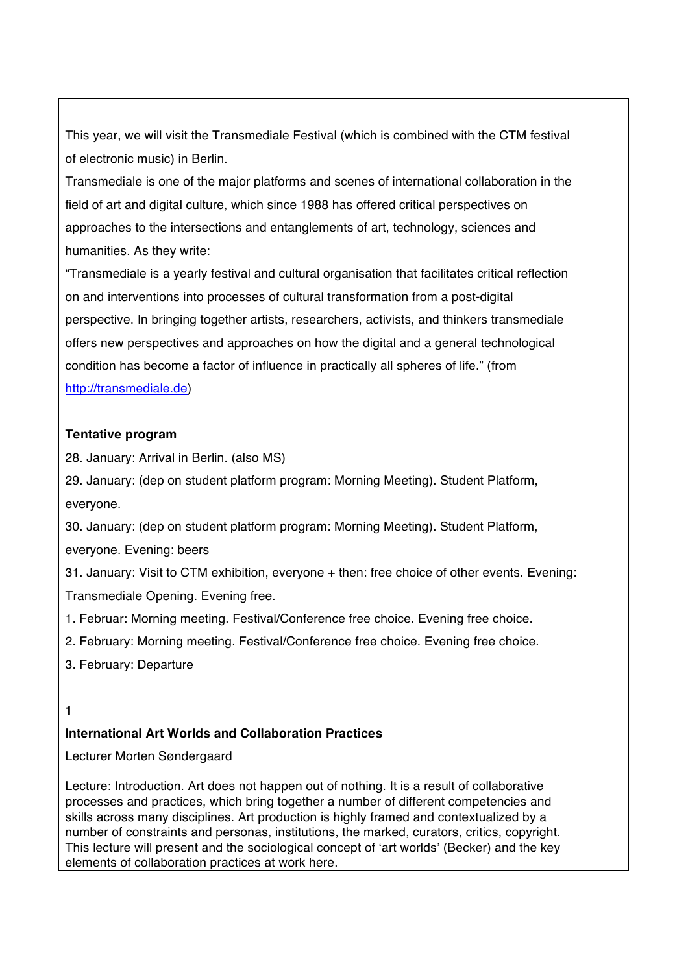This year, we will visit the Transmediale Festival (which is combined with the CTM festival of electronic music) in Berlin.

Transmediale is one of the major platforms and scenes of international collaboration in the field of art and digital culture, which since 1988 has offered critical perspectives on approaches to the intersections and entanglements of art, technology, sciences and humanities. As they write:

"Transmediale is a yearly festival and cultural organisation that facilitates critical reflection on and interventions into processes of cultural transformation from a post-digital perspective. In bringing together artists, researchers, activists, and thinkers transmediale offers new perspectives and approaches on how the digital and a general technological condition has become a factor of influence in practically all spheres of life." (from http://transmediale.de)

### **Tentative program**

28. January: Arrival in Berlin. (also MS)

29. January: (dep on student platform program: Morning Meeting). Student Platform, everyone.

30. January: (dep on student platform program: Morning Meeting). Student Platform, everyone. Evening: beers

31. January: Visit to CTM exhibition, everyone + then: free choice of other events. Evening: Transmediale Opening. Evening free.

- 1. Februar: Morning meeting. Festival/Conference free choice. Evening free choice.
- 2. February: Morning meeting. Festival/Conference free choice. Evening free choice.
- 3. February: Departure

### **1**

### **International Art Worlds and Collaboration Practices**

Lecturer Morten Søndergaard

Lecture: Introduction. Art does not happen out of nothing. It is a result of collaborative processes and practices, which bring together a number of different competencies and skills across many disciplines. Art production is highly framed and contextualized by a number of constraints and personas, institutions, the marked, curators, critics, copyright. This lecture will present and the sociological concept of 'art worlds' (Becker) and the key elements of collaboration practices at work here.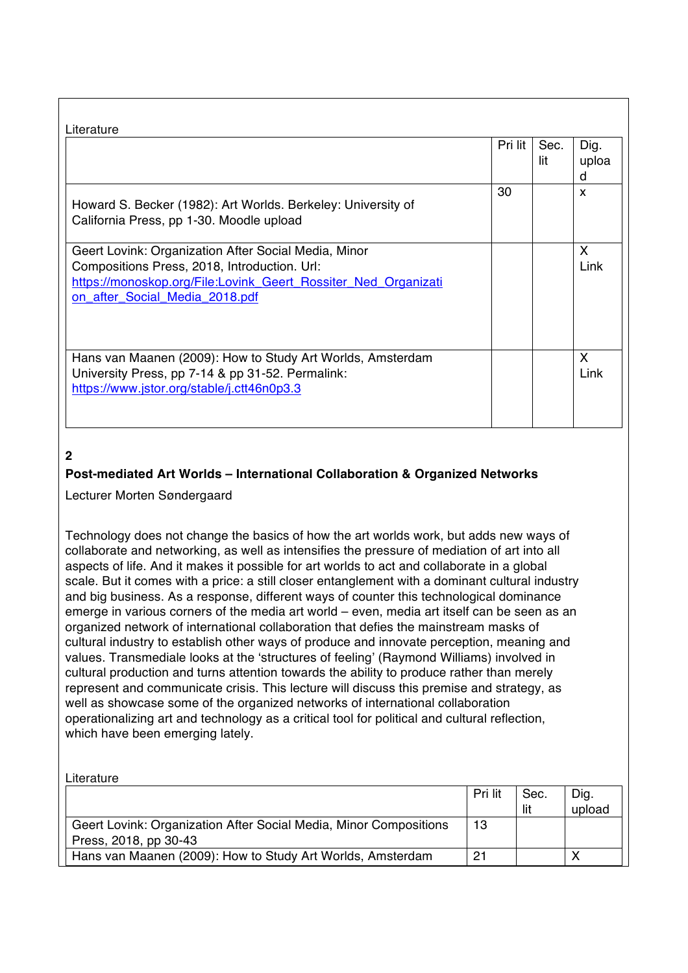|                                                                                                                                                                                                          | Pri lit | Sec.<br>lit | Dig.<br>uploa<br>d |
|----------------------------------------------------------------------------------------------------------------------------------------------------------------------------------------------------------|---------|-------------|--------------------|
| Howard S. Becker (1982): Art Worlds. Berkeley: University of<br>California Press, pp 1-30. Moodle upload                                                                                                 | 30      |             | X                  |
| Geert Lovink: Organization After Social Media, Minor<br>Compositions Press, 2018, Introduction. Url:<br>https://monoskop.org/File:Lovink_Geert_Rossiter_Ned_Organizati<br>on_after_Social_Media_2018.pdf |         |             | X<br>Link          |
| Hans van Maanen (2009): How to Study Art Worlds, Amsterdam<br>University Press, pp 7-14 & pp 31-52. Permalink:<br>https://www.jstor.org/stable/j.ctt46n0p3.3                                             |         |             | X<br>Link          |

# **2**

### **Post-mediated Art Worlds – International Collaboration & Organized Networks**

Lecturer Morten Søndergaard

Technology does not change the basics of how the art worlds work, but adds new ways of collaborate and networking, as well as intensifies the pressure of mediation of art into all aspects of life. And it makes it possible for art worlds to act and collaborate in a global scale. But it comes with a price: a still closer entanglement with a dominant cultural industry and big business. As a response, different ways of counter this technological dominance emerge in various corners of the media art world – even, media art itself can be seen as an organized network of international collaboration that defies the mainstream masks of cultural industry to establish other ways of produce and innovate perception, meaning and values. Transmediale looks at the 'structures of feeling' (Raymond Williams) involved in cultural production and turns attention towards the ability to produce rather than merely represent and communicate crisis. This lecture will discuss this premise and strategy, as well as showcase some of the organized networks of international collaboration operationalizing art and technology as a critical tool for political and cultural reflection, which have been emerging lately.

| Literature                                                        |         |      |        |
|-------------------------------------------------------------------|---------|------|--------|
|                                                                   | Pri lit | Sec. | Dig.   |
|                                                                   |         | lit  | upload |
| Geert Lovink: Organization After Social Media, Minor Compositions | 13      |      |        |
| Press, 2018, pp 30-43                                             |         |      |        |
| Hans van Maanen (2009): How to Study Art Worlds, Amsterdam        | 21      |      | ◡      |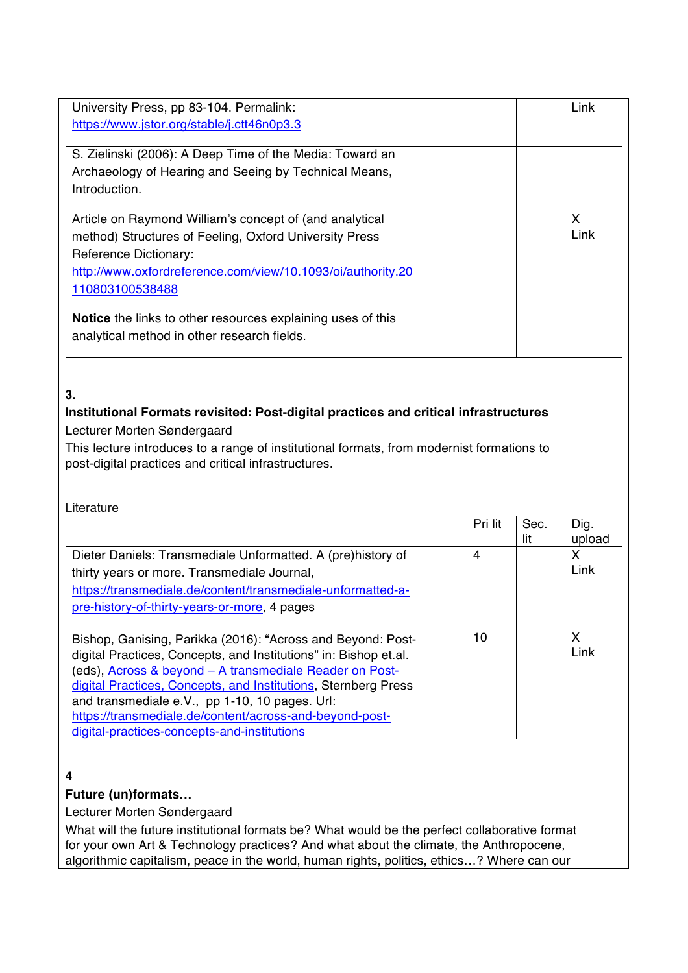| University Press, pp 83-104. Permalink:                     |  | Link |
|-------------------------------------------------------------|--|------|
| https://www.jstor.org/stable/j.ctt46n0p3.3                  |  |      |
|                                                             |  |      |
| S. Zielinski (2006): A Deep Time of the Media: Toward an    |  |      |
| Archaeology of Hearing and Seeing by Technical Means,       |  |      |
| Introduction.                                               |  |      |
|                                                             |  |      |
| Article on Raymond William's concept of (and analytical     |  | X    |
| method) Structures of Feeling, Oxford University Press      |  | Link |
| Reference Dictionary:                                       |  |      |
| http://www.oxfordreference.com/view/10.1093/oi/authority.20 |  |      |
| 110803100538488                                             |  |      |
|                                                             |  |      |
| Notice the links to other resources explaining uses of this |  |      |
| analytical method in other research fields.                 |  |      |
|                                                             |  |      |

### **3.**

## **Institutional Formats revisited: Post-digital practices and critical infrastructures**

Lecturer Morten Søndergaard

This lecture introduces to a range of institutional formats, from modernist formations to post-digital practices and critical infrastructures.

| Literature                                                       |         |      |        |
|------------------------------------------------------------------|---------|------|--------|
|                                                                  | Pri lit | Sec. | Dig.   |
|                                                                  |         | lit  | upload |
| Dieter Daniels: Transmediale Unformatted. A (pre)history of      | 4       |      | X      |
| thirty years or more. Transmediale Journal,                      |         |      | Link   |
| https://transmediale.de/content/transmediale-unformatted-a-      |         |      |        |
| pre-history-of-thirty-years-or-more, 4 pages                     |         |      |        |
|                                                                  |         |      |        |
| Bishop, Ganising, Parikka (2016): "Across and Beyond: Post-      | 10      |      | X      |
| digital Practices, Concepts, and Institutions" in: Bishop et.al. |         |      | Link   |
| (eds), Across & beyond - A transmediale Reader on Post-          |         |      |        |
| digital Practices, Concepts, and Institutions, Sternberg Press   |         |      |        |
| and transmediale e.V., pp 1-10, 10 pages. Url:                   |         |      |        |
| https://transmediale.de/content/across-and-beyond-post-          |         |      |        |
| digital-practices-concepts-and-institutions                      |         |      |        |

# **4**

### **Future (un)formats…**

Lecturer Morten Søndergaard

What will the future institutional formats be? What would be the perfect collaborative format for your own Art & Technology practices? And what about the climate, the Anthropocene, algorithmic capitalism, peace in the world, human rights, politics, ethics…? Where can our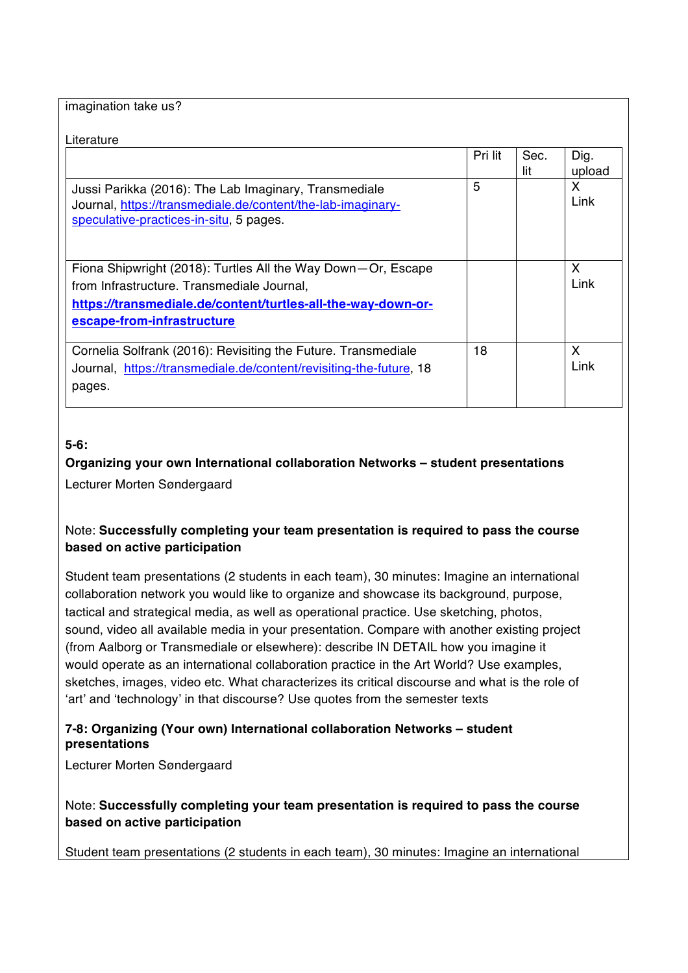imagination take us?

|                                                                                                                                                                                                          | Pri lit | Sec.<br>lit | Dig.<br>upload |
|----------------------------------------------------------------------------------------------------------------------------------------------------------------------------------------------------------|---------|-------------|----------------|
| Jussi Parikka (2016): The Lab Imaginary, Transmediale<br>Journal, https://transmediale.de/content/the-lab-imaginary-<br>speculative-practices-in-situ, 5 pages.                                          | 5       |             | X<br>Link      |
| Fiona Shipwright (2018): Turtles All the Way Down-Or, Escape<br>from Infrastructure. Transmediale Journal,<br>https://transmediale.de/content/turtles-all-the-way-down-or-<br>escape-from-infrastructure |         |             | X<br>Link      |
| Cornelia Solfrank (2016): Revisiting the Future. Transmediale<br>Journal, https://transmediale.de/content/revisiting-the-future, 18<br>pages.                                                            | 18      |             | X<br>Link      |

## **5-6:**

# **Organizing your own International collaboration Networks – student presentations**  Lecturer Morten Søndergaard

## Note: **Successfully completing your team presentation is required to pass the course based on active participation**

Student team presentations (2 students in each team), 30 minutes: Imagine an international collaboration network you would like to organize and showcase its background, purpose, tactical and strategical media, as well as operational practice. Use sketching, photos, sound, video all available media in your presentation. Compare with another existing project (from Aalborg or Transmediale or elsewhere): describe IN DETAIL how you imagine it would operate as an international collaboration practice in the Art World? Use examples, sketches, images, video etc. What characterizes its critical discourse and what is the role of 'art' and 'technology' in that discourse? Use quotes from the semester texts

## **7-8: Organizing (Your own) International collaboration Networks – student presentations**

Lecturer Morten Søndergaard

Note: **Successfully completing your team presentation is required to pass the course based on active participation**

Student team presentations (2 students in each team), 30 minutes: Imagine an international